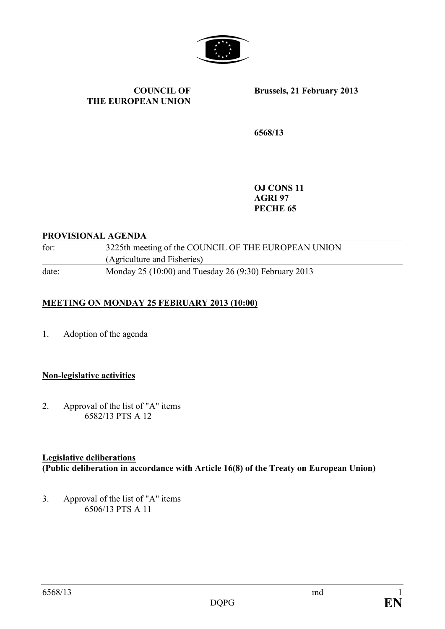

**COUNCIL OF THE EUROPEAN UNION** **Brussels, 21 February 2013**

**6568/13**

**OJ CONS 11 AGRI 97 PECHE 65**

### **PROVISIONAL AGENDA**

for: 3225th meeting of the COUNCIL OF THE EUROPEAN UNION (Agriculture and Fisheries) date: Monday 25 (10:00) and Tuesday 26 (9:30) February 2013

# **MEETING ON MONDAY 25 FEBRUARY 2013 (10:00)**

1. Adoption of the agenda

# **Non-legislative activities**

2. Approval of the list of "A" items 6582/13 PTS A 12

# **Legislative deliberations**

**(Public deliberation in accordance with Article 16(8) of the Treaty on European Union)**

3. Approval of the list of "A" items 6506/13 PTS A 11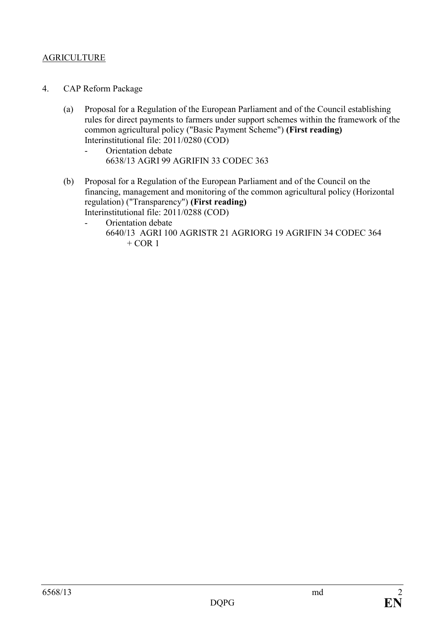# AGRICULTURE

- 4. CAP Reform Package
	- (a) Proposal for a Regulation of the European Parliament and of the Council establishing rules for direct payments to farmers under support schemes within the framework of the common agricultural policy ("Basic Payment Scheme") **(First reading)** Interinstitutional file: 2011/0280 (COD)
		- Orientation debate 6638/13 AGRI 99 AGRIFIN 33 CODEC 363
	- (b) Proposal for a Regulation of the European Parliament and of the Council on the financing, management and monitoring of the common agricultural policy (Horizontal regulation) ("Transparency") **(First reading)** Interinstitutional file: 2011/0288 (COD)
		- Orientation debate 6640/13 AGRI 100 AGRISTR 21 AGRIORG 19 AGRIFIN 34 CODEC 364  $+$  COR 1